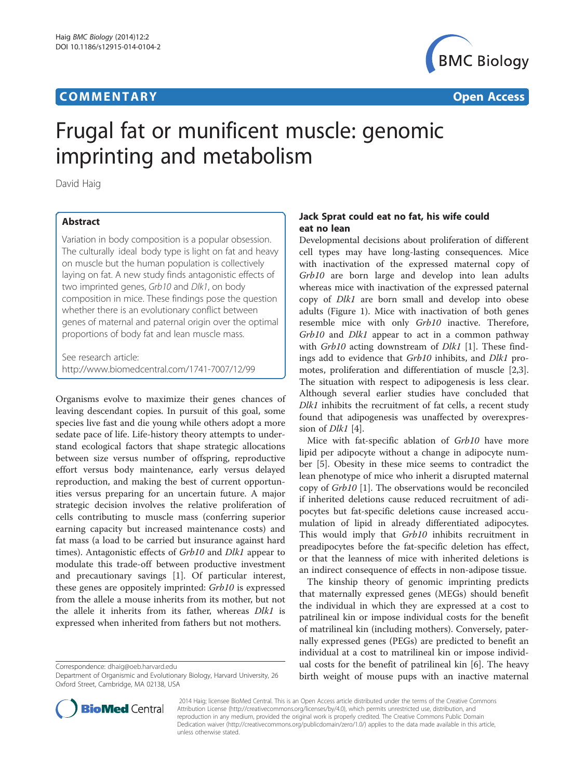# **COMMENTARY COMMENTARY Open Access**



# Frugal fat or munificent muscle: genomic imprinting and metabolism

David Haig

## Abstract

Variation in body composition is a popular obsession. The culturally ideal body type is light on fat and heavy on muscle but the human population is collectively laying on fat. A new study finds antagonistic effects of two imprinted genes, Grb10 and Dlk1, on body composition in mice. These findings pose the question whether there is an evolutionary conflict between genes of maternal and paternal origin over the optimal proportions of body fat and lean muscle mass.

See research article: <http://www.biomedcentral.com/1741-7007/12/99>

Organisms evolve to maximize their genes chances of leaving descendant copies. In pursuit of this goal, some species live fast and die young while others adopt a more sedate pace of life. Life-history theory attempts to understand ecological factors that shape strategic allocations between size versus number of offspring, reproductive effort versus body maintenance, early versus delayed reproduction, and making the best of current opportunities versus preparing for an uncertain future. A major strategic decision involves the relative proliferation of cells contributing to muscle mass (conferring superior earning capacity but increased maintenance costs) and fat mass (a load to be carried but insurance against hard times). Antagonistic effects of Grb10 and Dlk1 appear to modulate this trade-off between productive investment and precautionary savings [[1\]](#page-2-0). Of particular interest, these genes are oppositely imprinted: Grb10 is expressed from the allele a mouse inherits from its mother, but not the allele it inherits from its father, whereas Dlk1 is expressed when inherited from fathers but not mothers.

Correspondence: [dhaig@oeb.harvard.edu](mailto:dhaig@oeb.harvard.edu)

# Jack Sprat could eat no fat, his wife could eat no lean

Developmental decisions about proliferation of different cell types may have long-lasting consequences. Mice with inactivation of the expressed maternal copy of Grb10 are born large and develop into lean adults whereas mice with inactivation of the expressed paternal copy of Dlk1 are born small and develop into obese adults (Figure [1\)](#page-1-0). Mice with inactivation of both genes resemble mice with only Grb10 inactive. Therefore, Grb10 and Dlk1 appear to act in a common pathway with Grb10 acting downstream of *Dlk1* [[1\]](#page-2-0). These findings add to evidence that Grb10 inhibits, and Dlk1 promotes, proliferation and differentiation of muscle [\[2,3](#page-2-0)]. The situation with respect to adipogenesis is less clear. Although several earlier studies have concluded that Dlk1 inhibits the recruitment of fat cells, a recent study found that adipogenesis was unaffected by overexpression of *Dlk1* [[4\]](#page-2-0).

Mice with fat-specific ablation of Grb10 have more lipid per adipocyte without a change in adipocyte number [[5](#page-2-0)]. Obesity in these mice seems to contradict the lean phenotype of mice who inherit a disrupted maternal copy of Grb10 [\[1](#page-2-0)]. The observations would be reconciled if inherited deletions cause reduced recruitment of adipocytes but fat-specific deletions cause increased accumulation of lipid in already differentiated adipocytes. This would imply that Grb10 inhibits recruitment in preadipocytes before the fat-specific deletion has effect, or that the leanness of mice with inherited deletions is an indirect consequence of effects in non-adipose tissue.

The kinship theory of genomic imprinting predicts that maternally expressed genes (MEGs) should benefit the individual in which they are expressed at a cost to patrilineal kin or impose individual costs for the benefit of matrilineal kin (including mothers). Conversely, paternally expressed genes (PEGs) are predicted to benefit an individual at a cost to matrilineal kin or impose individual costs for the benefit of patrilineal kin [\[6](#page-2-0)]. The heavy birth weight of mouse pups with an inactive maternal



? 2014 Haig; licensee BioMed Central. This is an Open Access article distributed under the terms of the Creative Commons Attribution License (<http://creativecommons.org/licenses/by/4.0>), which permits unrestricted use, distribution, and reproduction in any medium, provided the original work is properly credited. The Creative Commons Public Domain Dedication waiver [\(http://creativecommons.org/publicdomain/zero/1.0/](http://creativecommons.org/publicdomain/zero/1.0/)) applies to the data made available in this article, unless otherwise stated.

Department of Organismic and Evolutionary Biology, Harvard University, 26 Oxford Street, Cambridge, MA 02138, USA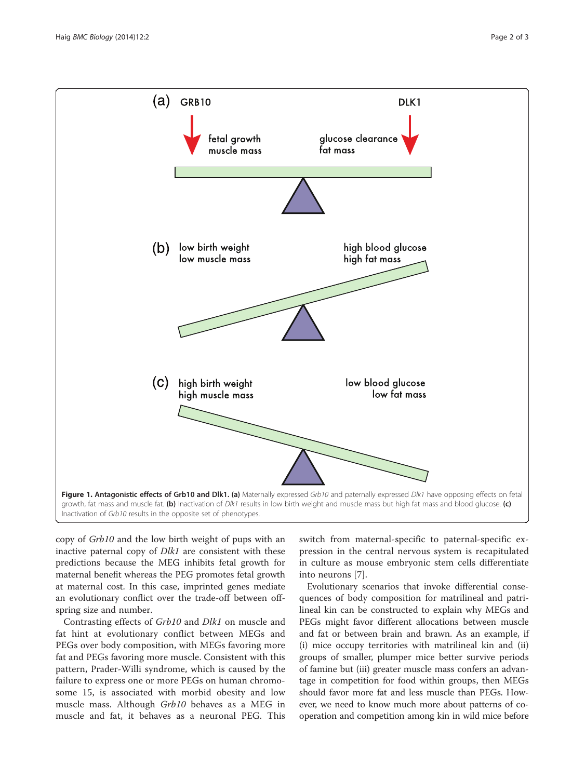<span id="page-1-0"></span>

copy of Grb10 and the low birth weight of pups with an inactive paternal copy of Dlk1 are consistent with these predictions because the MEG inhibits fetal growth for maternal benefit whereas the PEG promotes fetal growth at maternal cost. In this case, imprinted genes mediate an evolutionary conflict over the trade-off between offspring size and number.

Contrasting effects of Grb10 and Dlk1 on muscle and fat hint at evolutionary conflict between MEGs and PEGs over body composition, with MEGs favoring more fat and PEGs favoring more muscle. Consistent with this pattern, Prader-Willi syndrome, which is caused by the failure to express one or more PEGs on human chromosome 15, is associated with morbid obesity and low muscle mass. Although Grb10 behaves as a MEG in muscle and fat, it behaves as a neuronal PEG. This

switch from maternal-specific to paternal-specific expression in the central nervous system is recapitulated in culture as mouse embryonic stem cells differentiate into neurons [[7\]](#page-2-0).

Evolutionary scenarios that invoke differential consequences of body composition for matrilineal and patrilineal kin can be constructed to explain why MEGs and PEGs might favor different allocations between muscle and fat or between brain and brawn. As an example, if (i) mice occupy territories with matrilineal kin and (ii) groups of smaller, plumper mice better survive periods of famine but (iii) greater muscle mass confers an advantage in competition for food within groups, then MEGs should favor more fat and less muscle than PEGs. However, we need to know much more about patterns of cooperation and competition among kin in wild mice before